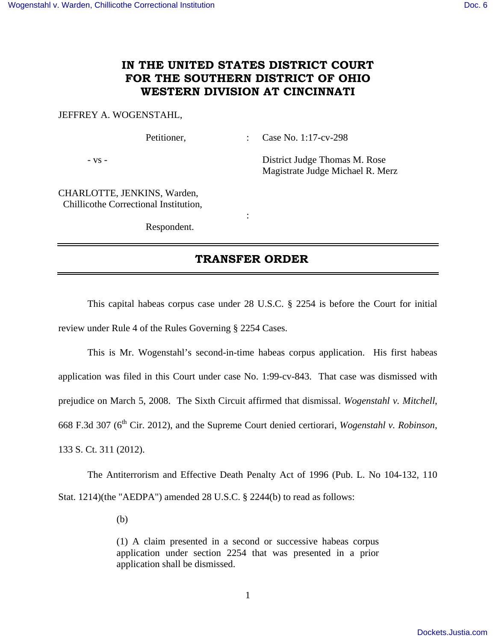## **IN THE UNITED STATES DISTRICT COURT FOR THE SOUTHERN DISTRICT OF OHIO WESTERN DIVISION AT CINCINNATI**

## JEFFREY A. WOGENSTAHL,

Petitioner, : Case No. 1:17-cv-298

- vs - District Judge Thomas M. Rose Magistrate Judge Michael R. Merz

CHARLOTTE, JENKINS, Warden, Chillicothe Correctional Institution,

Respondent.

**Service State State State** 

## **TRANSFER ORDER**

 This capital habeas corpus case under 28 U.S.C. § 2254 is before the Court for initial review under Rule 4 of the Rules Governing § 2254 Cases.

 This is Mr. Wogenstahl's second-in-time habeas corpus application. His first habeas application was filed in this Court under case No. 1:99-cv-843. That case was dismissed with prejudice on March 5, 2008. The Sixth Circuit affirmed that dismissal. *Wogenstahl v. Mitchell*, 668 F.3d 307 (6th Cir. 2012), and the Supreme Court denied certiorari, *Wogenstahl v. Robinson*, 133 S. Ct. 311 (2012).

The Antiterrorism and Effective Death Penalty Act of 1996 (Pub. L. No 104-132, 110 Stat. 1214)(the "AEDPA") amended 28 U.S.C. § 2244(b) to read as follows:

(b)

(1) A claim presented in a second or successive habeas corpus application under section 2254 that was presented in a prior application shall be dismissed.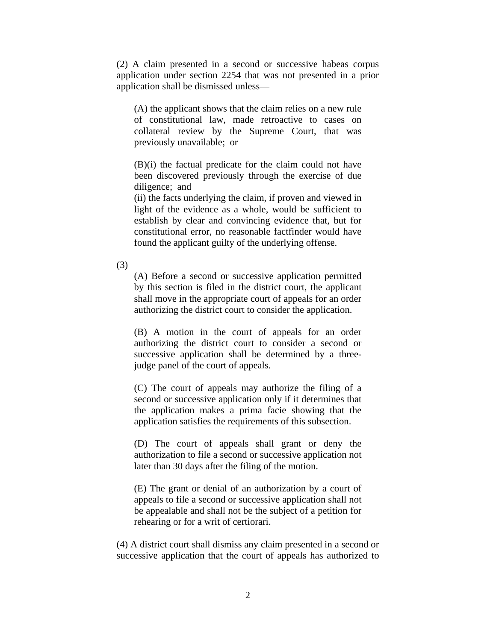(2) A claim presented in a second or successive habeas corpus application under section 2254 that was not presented in a prior application shall be dismissed unless—

(A) the applicant shows that the claim relies on a new rule of constitutional law, made retroactive to cases on collateral review by the Supreme Court, that was previously unavailable; or

(B)(i) the factual predicate for the claim could not have been discovered previously through the exercise of due diligence; and

(ii) the facts underlying the claim, if proven and viewed in light of the evidence as a whole, would be sufficient to establish by clear and convincing evidence that, but for constitutional error, no reasonable factfinder would have found the applicant guilty of the underlying offense.

(3)

(A) Before a second or successive application permitted by this section is filed in the district court, the applicant shall move in the appropriate court of appeals for an order authorizing the district court to consider the application.

(B) A motion in the court of appeals for an order authorizing the district court to consider a second or successive application shall be determined by a threejudge panel of the court of appeals.

(C) The court of appeals may authorize the filing of a second or successive application only if it determines that the application makes a prima facie showing that the application satisfies the requirements of this subsection.

(D) The court of appeals shall grant or deny the authorization to file a second or successive application not later than 30 days after the filing of the motion.

(E) The grant or denial of an authorization by a court of appeals to file a second or successive application shall not be appealable and shall not be the subject of a petition for rehearing or for a writ of certiorari.

(4) A district court shall dismiss any claim presented in a second or successive application that the court of appeals has authorized to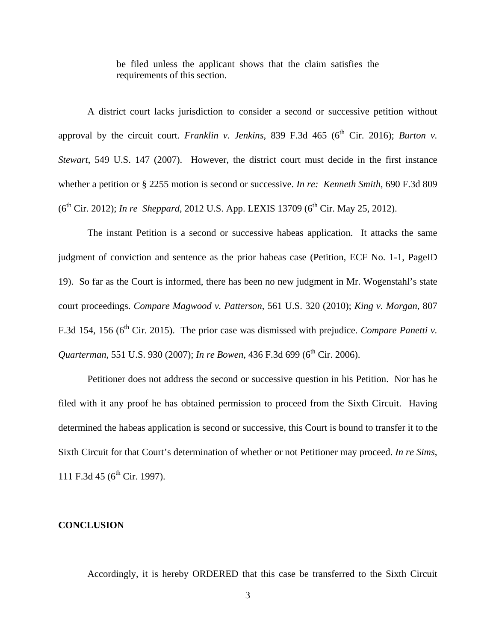be filed unless the applicant shows that the claim satisfies the requirements of this section.

 A district court lacks jurisdiction to consider a second or successive petition without approval by the circuit court. *Franklin v. Jenkins*, 839 F.3d 465 ( $6<sup>th</sup>$  Cir. 2016); *Burton v. Stewart*, 549 U.S. 147 (2007). However, the district court must decide in the first instance whether a petition or § 2255 motion is second or successive. *In re: Kenneth Smith*, 690 F.3d 809 (6<sup>th</sup> Cir. 2012); *In re Sheppard*, 2012 U.S. App. LEXIS 13709 (6<sup>th</sup> Cir. May 25, 2012).

 The instant Petition is a second or successive habeas application. It attacks the same judgment of conviction and sentence as the prior habeas case (Petition, ECF No. 1-1, PageID 19). So far as the Court is informed, there has been no new judgment in Mr. Wogenstahl's state court proceedings. *Compare Magwood v. Patterson*, 561 U.S. 320 (2010); *King v. Morgan*, 807 F.3d 154, 156 (6<sup>th</sup> Cir. 2015). The prior case was dismissed with prejudice. *Compare Panetti v. Quarterman*, 551 U.S. 930 (2007); *In re Bowen*, 436 F.3d 699 (6<sup>th</sup> Cir. 2006).

 Petitioner does not address the second or successive question in his Petition. Nor has he filed with it any proof he has obtained permission to proceed from the Sixth Circuit. Having determined the habeas application is second or successive, this Court is bound to transfer it to the Sixth Circuit for that Court's determination of whether or not Petitioner may proceed. *In re Sims*, 111 F.3d 45 ( $6^{th}$  Cir. 1997).

## **CONCLUSION**

Accordingly, it is hereby ORDERED that this case be transferred to the Sixth Circuit